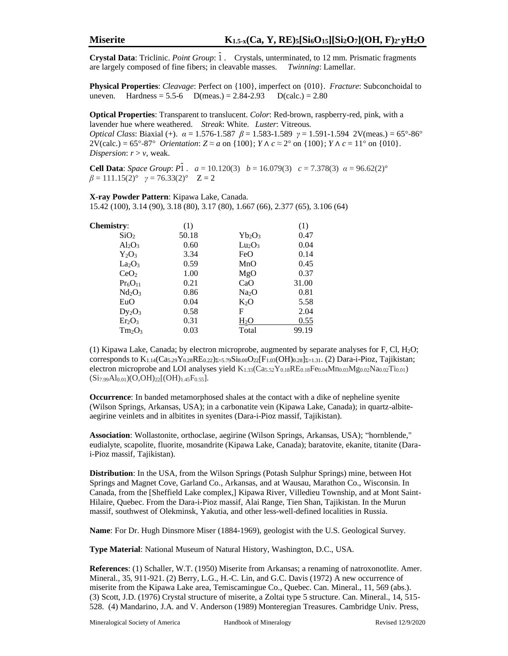**Crystal Data**: Triclinic. *Point Group*: 1. Crystals, unterminated, to 12 mm. Prismatic fragments are largely composed of fine fibers; in cleavable masses. *Twinning*: Lamellar.

**Physical Properties**: *Cleavage*: Perfect on {100}, imperfect on {010}. *Fracture*: Subconchoidal to uneven. Hardness =  $5.5-6$  D(meas.) =  $2.84-2.93$  D(calc.) =  $2.80$ 

**Optical Properties**: Transparent to translucent. *Color*: Red-brown, raspberry-red, pink, with a lavender hue where weathered. *Streak*: White. *Luster*: Vitreous.

*Optical Class*: Biaxial (+). *α* = 1.576-1.587 *β* = 1.583-1.589 *γ* = 1.591-1.594 2V(meas.) = 65°-86°  $2V(\text{calc.}) = 65^{\circ} - 87^{\circ}$  *Orientation*:  $Z \approx a$  on {100};  $Y \wedge c \approx 2^{\circ}$  on {100};  $Y \wedge c = 11^{\circ}$  on {010}. *Dispersion*:  $r > v$ , weak.

**Cell Data**: *Space Group*:  $P_1$ .  $a = 10.120(3)$   $b = 16.079(3)$   $c = 7.378(3)$   $\alpha = 96.62(2)^\circ$  $β = 111.15(2)°$   $γ = 76.33(2)°$   $Z = 2$ 

**X-ray Powder Pattern**: Kipawa Lake, Canada. 15.42 (100), 3.14 (90), 3.18 (80), 3.17 (80), 1.667 (66), 2.377 (65), 3.106 (64)

| <b>Chemistry:</b>              | (1)   |                   | (1)   |
|--------------------------------|-------|-------------------|-------|
| SiO <sub>2</sub>               | 50.18 | $Yb_2O_3$         | 0.47  |
| $Al_2O_3$                      | 0.60  | $Lu_2O_3$         | 0.04  |
| $Y_2O_3$                       | 3.34  | FeO               | 0.14  |
| La <sub>2</sub> O <sub>3</sub> | 0.59  | MnO               | 0.45  |
| CeO <sub>2</sub>               | 1.00  | MgO               | 0.37  |
| $Pr_6O_{11}$                   | 0.21  | CaO               | 31.00 |
| $Nd_2O_3$                      | 0.86  | Na <sub>2</sub> O | 0.81  |
| EuO                            | 0.04  | $K_2O$            | 5.58  |
| $Dy_2O_3$                      | 0.58  | F                 | 2.04  |
| $Er_2O_3$                      | 0.31  | <u>H2O</u>        | 0.55  |
| $Tm_2O_3$                      | 0.03  | Total             | 99.19 |

(1) Kipawa Lake, Canada; by electron microprobe, augmented by separate analyses for F, Cl,  $H_2O$ ; corresponds to  $K_{1.14}(Ca_{5.29}Y_{0.28}RE_{0.22})\rightarrowsub>5.79}Si_{8.00}O_{22}[F_{1.03}(OH)_{0.28}]\rightarrowsub>2-1.31$ . (2) Dara-i-Pioz, Tajikistan; electron microprobe and LOI analyses yield  $K_{1,33}(Ca_{5,52}Y_{0.18}RE_{0.18}Fe_{0.04}Mn_{0.03}Mg_{0.02}Na_{0.02}Ti_{0.01})$  $(Si_{7.99}Al_{0.01})(O,OH)_{22}[(OH)_{1.45}F_{0.55}].$ 

**Occurrence**: In banded metamorphosed shales at the contact with a dike of nepheline syenite (Wilson Springs, Arkansas, USA); in a carbonatite vein (Kipawa Lake, Canada); in quartz-albiteaegirine veinlets and in albitites in syenites (Dara-i-Pioz massif, Tajikistan).

**Association**: Wollastonite, orthoclase, aegirine (Wilson Springs, Arkansas, USA); "hornblende," eudialyte, scapolite, fluorite, mosandrite (Kipawa Lake, Canada); baratovite, ekanite, titanite (Darai-Pioz massif, Tajikistan).

**Distribution**: In the USA, from the Wilson Springs (Potash Sulphur Springs) mine, between Hot Springs and Magnet Cove, Garland Co., Arkansas, and at Wausau, Marathon Co., Wisconsin. In Canada, from the [Sheffield Lake complex,] Kipawa River, Villedieu Township, and at Mont Saint-Hilaire, Quebec. From the Dara-i-Pioz massif, Alai Range, Tien Shan, Tajikistan. In the Murun massif, southwest of Olekminsk, Yakutia, and other less-well-defined localities in Russia.

**Name**: For Dr. Hugh Dinsmore Miser (1884-1969), geologist with the U.S. Geological Survey.

**Type Material**: National Museum of Natural History, Washington, D.C., USA.

**References**: (1) Schaller, W.T. (1950) Miserite from Arkansas; a renaming of natroxonotlite. Amer. Mineral., 35, 911-921. (2) Berry, L.G., H.-C. Lin, and G.C. Davis (1972) A new occurrence of miserite from the Kipawa Lake area, Temiscamingue Co., Quebec. Can. Mineral., 11, 569 (abs.). (3) Scott, J.D. (1976) Crystal structure of miserite, a Zoltai type 5 structure. Can. Mineral., 14, 515- 528. (4) Mandarino, J.A. and V. Anderson (1989) Monteregian Treasures. Cambridge Univ. Press,